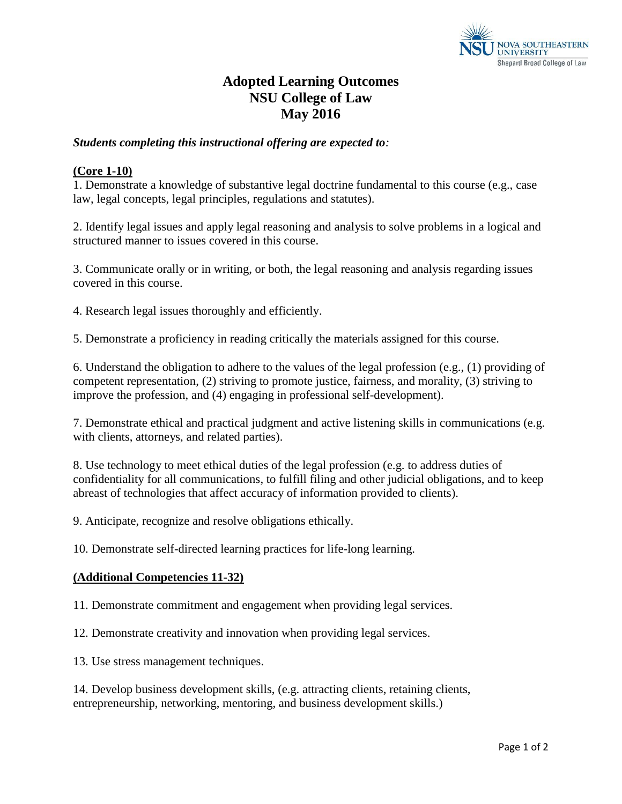

## **Adopted Learning Outcomes NSU College of Law May 2016**

## *Students completing this instructional offering are expected to:*

## **(Core 1-10)**

1. Demonstrate a knowledge of substantive legal doctrine fundamental to this course (e.g., case law, legal concepts, legal principles, regulations and statutes).

2. Identify legal issues and apply legal reasoning and analysis to solve problems in a logical and structured manner to issues covered in this course.

3. Communicate orally or in writing, or both, the legal reasoning and analysis regarding issues covered in this course.

4. Research legal issues thoroughly and efficiently.

5. Demonstrate a proficiency in reading critically the materials assigned for this course.

6. Understand the obligation to adhere to the values of the legal profession (e.g., (1) providing of competent representation, (2) striving to promote justice, fairness, and morality, (3) striving to improve the profession, and (4) engaging in professional self-development).

7. Demonstrate ethical and practical judgment and active listening skills in communications (e.g. with clients, attorneys, and related parties).

8. Use technology to meet ethical duties of the legal profession (e.g. to address duties of confidentiality for all communications, to fulfill filing and other judicial obligations, and to keep abreast of technologies that affect accuracy of information provided to clients).

9. Anticipate, recognize and resolve obligations ethically.

10. Demonstrate self-directed learning practices for life-long learning.

## **(Additional Competencies 11-32)**

11. Demonstrate commitment and engagement when providing legal services.

12. Demonstrate creativity and innovation when providing legal services.

13. Use stress management techniques.

14. Develop business development skills, (e.g. attracting clients, retaining clients, entrepreneurship, networking, mentoring, and business development skills.)